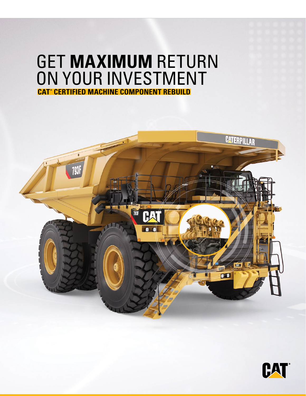# GET **MAXIMUM** RETURN ON YOUR INVESTMENT **CAT® CERTIFIED MACHINE COMPONENT REBUILD**



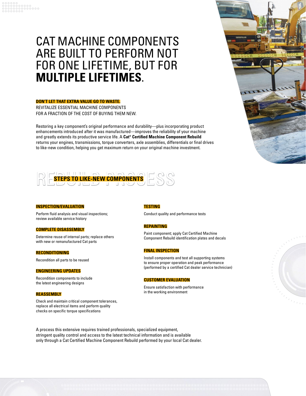## CAT MACHINE COMPONENTS ARE BUILT TO PERFORM NOT FOR ONE LIFETIME, BUT FOR **MULTIPLE LIFETIMES**.

## **DON'T LET THAT EXTRA VALUE GO TO WASTE.**

REVITALIZE ESSENTIAL MACHINE COMPONENTS FOR A FRACTION OF THE COST OF BUYING THEM NEW.

Restoring a key component's original performance and durability—plus incorporating product enhancements introduced after it was manufactured—improves the reliability of your machine and greatly extends its productive service life. A **Cat® Certified Machine Component Rebuild** returns your engines, transmissions, torque converters, axle assemblies, differentials or final drives to like-new condition, helping you get maximum return on your original machine investment.



### **INSPECTION/EVALUATION**

Perform fluid analysis and visual inspections; review available service history

#### **COMPLETE DISASSEMBLY**

Determine reuse of internal parts; replace others with new or remanufactured Cat parts

#### **RECONDITIONING**

Recondition all parts to be reused

#### **ENGINEERING UPDATES**

Recondition components to include the latest engineering designs

#### **REASSEMBLY**

Check and maintain critical component tolerances, replace all electrical items and perform quality checks on specific torque specifications

#### **TESTING**

Conduct quality and performance tests

#### **REPAINTING**

Paint component; apply Cat Certified Machine Component Rebuild identification plates and decals

#### **FINAL INSPECTION**

Install components and test all supporting systems to ensure proper operation and peak performance (performed by a certified Cat dealer service technician)

#### **CUSTOMER EVALUATION**

Ensure satisfaction with performance in the working environment





A process this extensive requires trained professionals, specialized equipment, stringent quality control and access to the latest technical information and is available only through a Cat Certified Machine Component Rebuild performed by your local Cat dealer.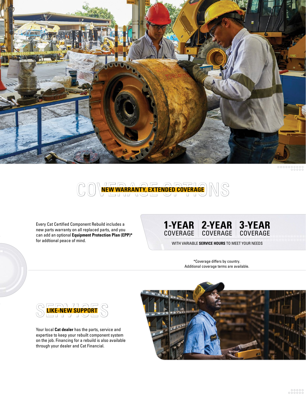



Every Cat Certified Component Rebuild includes a new parts warranty on all replaced parts, and you can add an optional **Equipment Protection Plan (EPP)\*** for addtional peace of mind.

#### **1-YEAR** COVERAGE **2-YEAR** COVERAGE **3-YEAR** COVERAGE

WITH VARIABLE **SERVICE HOURS** TO MEET YOUR NEEDS

\*Coverage differs by country. Additional coverage terms are available.



Your local **Cat dealer** has the parts, service and expertise to keep your rebuilt component system on the job. Financing for a rebuild is also available through your dealer and Cat Financial.